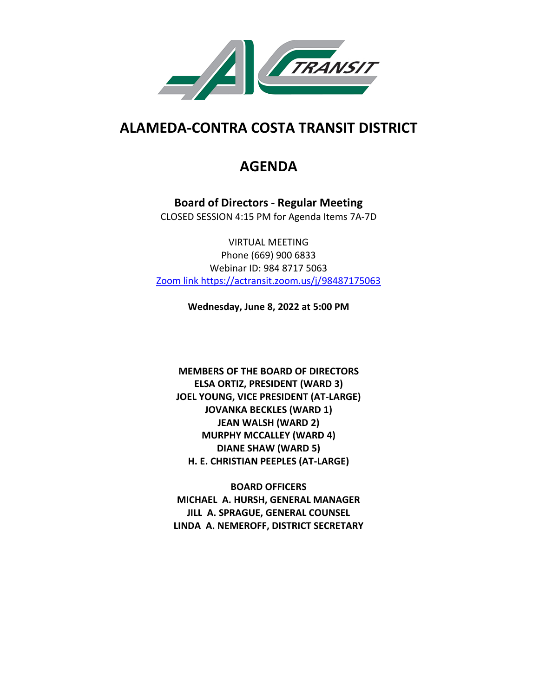

# **ALAMEDA-CONTRA COSTA TRANSIT DISTRICT**

## **AGENDA**

**Board of Directors - Regular Meeting** CLOSED SESSION 4:15 PM for Agenda Items 7A-7D

VIRTUAL MEETING Phone (669) 900 6833 Webinar ID: 984 8717 5063 Zoom link https://actransit.zoom.us/j/98487175063

**Wednesday, June 8, 2022 at 5:00 PM**

**MEMBERS OF THE BOARD OF DIRECTORS ELSA ORTIZ, PRESIDENT (WARD 3) JOEL YOUNG, VICE PRESIDENT (AT-LARGE) JOVANKA BECKLES (WARD 1) JEAN WALSH (WARD 2) MURPHY MCCALLEY (WARD 4) DIANE SHAW (WARD 5) H. E. CHRISTIAN PEEPLES (AT-LARGE)**

**BOARD OFFICERS MICHAEL A. HURSH, GENERAL MANAGER JILL A. SPRAGUE, GENERAL COUNSEL LINDA A. NEMEROFF, DISTRICT SECRETARY**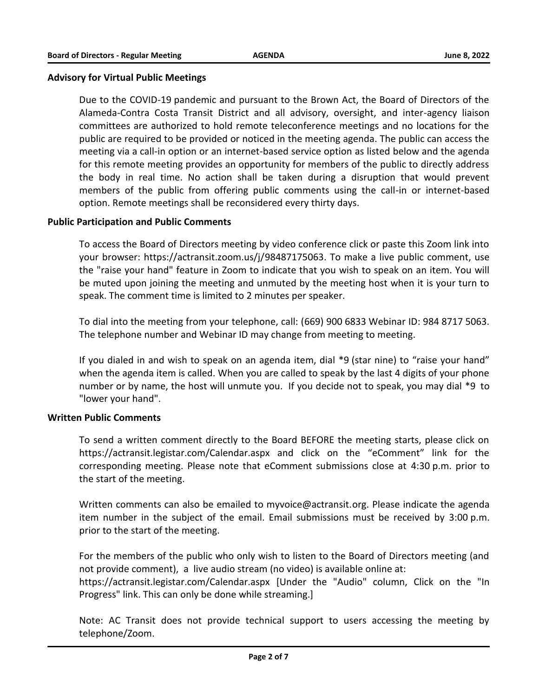#### **Advisory for Virtual Public Meetings**

Due to the COVID-19 pandemic and pursuant to the Brown Act, the Board of Directors of the Alameda-Contra Costa Transit District and all advisory, oversight, and inter-agency liaison committees are authorized to hold remote teleconference meetings and no locations for the public are required to be provided or noticed in the meeting agenda. The public can access the meeting via a call-in option or an internet-based service option as listed below and the agenda for this remote meeting provides an opportunity for members of the public to directly address the body in real time. No action shall be taken during a disruption that would prevent members of the public from offering public comments using the call-in or internet-based option. Remote meetings shall be reconsidered every thirty days.

#### **Public Participation and Public Comments**

To access the Board of Directors meeting by video conference click or paste this Zoom link into your browser: https://actransit.zoom.us/j/98487175063. To make a live public comment, use the "raise your hand" feature in Zoom to indicate that you wish to speak on an item. You will be muted upon joining the meeting and unmuted by the meeting host when it is your turn to speak. The comment time is limited to 2 minutes per speaker.

To dial into the meeting from your telephone, call: (669) 900 6833 Webinar ID: 984 8717 5063. The telephone number and Webinar ID may change from meeting to meeting.

If you dialed in and wish to speak on an agenda item, dial \*9 (star nine) to "raise your hand" when the agenda item is called. When you are called to speak by the last 4 digits of your phone number or by name, the host will unmute you. If you decide not to speak, you may dial \*9 to "lower your hand".

#### **Written Public Comments**

To send a written comment directly to the Board BEFORE the meeting starts, please click on https://actransit.legistar.com/Calendar.aspx and click on the "eComment" link for the corresponding meeting. Please note that eComment submissions close at 4:30 p.m. prior to the start of the meeting.

Written comments can also be emailed to myvoice@actransit.org. Please indicate the agenda item number in the subject of the email. Email submissions must be received by 3:00 p.m. prior to the start of the meeting.

For the members of the public who only wish to listen to the Board of Directors meeting (and not provide comment), a live audio stream (no video) is available online at: https://actransit.legistar.com/Calendar.aspx [Under the "Audio" column, Click on the "In Progress" link. This can only be done while streaming.]

Note: AC Transit does not provide technical support to users accessing the meeting by telephone/Zoom.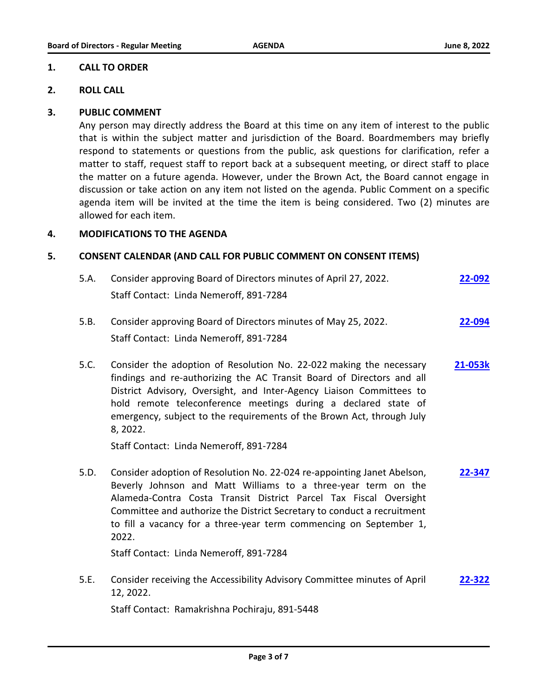#### **1. CALL TO ORDER**

#### **2. ROLL CALL**

#### **3. PUBLIC COMMENT**

Any person may directly address the Board at this time on any item of interest to the public that is within the subject matter and jurisdiction of the Board. Boardmembers may briefly respond to statements or questions from the public, ask questions for clarification, refer a matter to staff, request staff to report back at a subsequent meeting, or direct staff to place the matter on a future agenda. However, under the Brown Act, the Board cannot engage in discussion or take action on any item not listed on the agenda. Public Comment on a specific agenda item will be invited at the time the item is being considered. Two (2) minutes are allowed for each item.

#### **4. MODIFICATIONS TO THE AGENDA**

#### **5. CONSENT CALENDAR (AND CALL FOR PUBLIC COMMENT ON CONSENT ITEMS)**

| 5.A. | Consider approving Board of Directors minutes of April 27, 2022. | 22-092 |  |
|------|------------------------------------------------------------------|--------|--|
|      | Staff Contact: Linda Nemeroff, 891-7284                          |        |  |
| 5.B. | Consider approving Board of Directors minutes of May 25, 2022.   | 22-094 |  |
|      |                                                                  |        |  |

Staff Contact: Linda Nemeroff, 891-7284

5.C. Consider the adoption of Resolution No. 22-022 making the necessary findings and re-authorizing the AC Transit Board of Directors and all District Advisory, Oversight, and Inter-Agency Liaison Committees to hold remote teleconference meetings during a declared state of emergency, subject to the requirements of the Brown Act, through July 8, 2022. **[21-053k](http://actransit.legistar.com/gateway.aspx?m=l&id=/matter.aspx?key=5107)**

Staff Contact: Linda Nemeroff, 891-7284

5.D. Consider adoption of Resolution No. 22-024 re-appointing Janet Abelson, Beverly Johnson and Matt Williams to a three-year term on the Alameda-Contra Costa Transit District Parcel Tax Fiscal Oversight Committee and authorize the District Secretary to conduct a recruitment to fill a vacancy for a three-year term commencing on September 1, 2022. **[22-347](http://actransit.legistar.com/gateway.aspx?m=l&id=/matter.aspx?key=5127)**

Staff Contact: Linda Nemeroff, 891-7284

5.E. Consider receiving the Accessibility Advisory Committee minutes of April 12, 2022. **[22-322](http://actransit.legistar.com/gateway.aspx?m=l&id=/matter.aspx?key=5097)**

Staff Contact: Ramakrishna Pochiraju, 891-5448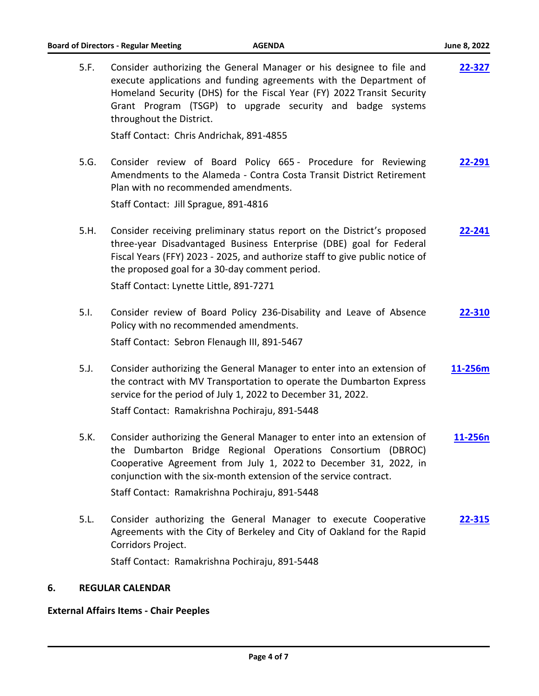| <b>Board of Directors - Regular Meeting</b><br><b>AGENDA</b> |                                                                                                                                                                                                                                                                                                                                  | June 8, 2022 |
|--------------------------------------------------------------|----------------------------------------------------------------------------------------------------------------------------------------------------------------------------------------------------------------------------------------------------------------------------------------------------------------------------------|--------------|
| 5.F.                                                         | Consider authorizing the General Manager or his designee to file and<br>execute applications and funding agreements with the Department of<br>Homeland Security (DHS) for the Fiscal Year (FY) 2022 Transit Security<br>Grant Program (TSGP) to upgrade security and badge systems<br>throughout the District.                   | 22-327       |
|                                                              | Staff Contact: Chris Andrichak, 891-4855                                                                                                                                                                                                                                                                                         |              |
| 5.G.                                                         | Consider review of Board Policy 665 - Procedure for Reviewing<br>Amendments to the Alameda - Contra Costa Transit District Retirement<br>Plan with no recommended amendments.                                                                                                                                                    | 22-291       |
|                                                              | Staff Contact: Jill Sprague, 891-4816                                                                                                                                                                                                                                                                                            |              |
| 5.H.                                                         | Consider receiving preliminary status report on the District's proposed<br>three-year Disadvantaged Business Enterprise (DBE) goal for Federal<br>Fiscal Years (FFY) 2023 - 2025, and authorize staff to give public notice of<br>the proposed goal for a 30-day comment period.                                                 | 22-241       |
|                                                              | Staff Contact: Lynette Little, 891-7271                                                                                                                                                                                                                                                                                          |              |
| 5.1.                                                         | Consider review of Board Policy 236-Disability and Leave of Absence<br>Policy with no recommended amendments.                                                                                                                                                                                                                    | 22-310       |
|                                                              | Staff Contact: Sebron Flenaugh III, 891-5467                                                                                                                                                                                                                                                                                     |              |
| 5.J.                                                         | Consider authorizing the General Manager to enter into an extension of<br>the contract with MV Transportation to operate the Dumbarton Express<br>service for the period of July 1, 2022 to December 31, 2022.                                                                                                                   | 11-256m      |
|                                                              | Staff Contact: Ramakrishna Pochiraju, 891-5448                                                                                                                                                                                                                                                                                   |              |
| 5.K.                                                         | Consider authorizing the General Manager to enter into an extension of<br>the Dumbarton Bridge Regional Operations Consortium (DBROC)<br>Cooperative Agreement from July 1, 2022 to December 31, 2022, in<br>conjunction with the six-month extension of the service contract.<br>Staff Contact: Ramakrishna Pochiraju, 891-5448 | 11-256n      |
|                                                              |                                                                                                                                                                                                                                                                                                                                  |              |
| 5.L.                                                         | Consider authorizing the General Manager to execute Cooperative<br>Agreements with the City of Berkeley and City of Oakland for the Rapid<br>Corridors Project.                                                                                                                                                                  | 22-315       |
|                                                              | Staff Contact: Ramakrishna Pochiraju, 891-5448                                                                                                                                                                                                                                                                                   |              |

### **6. REGULAR CALENDAR**

### **External Affairs Items - Chair Peeples**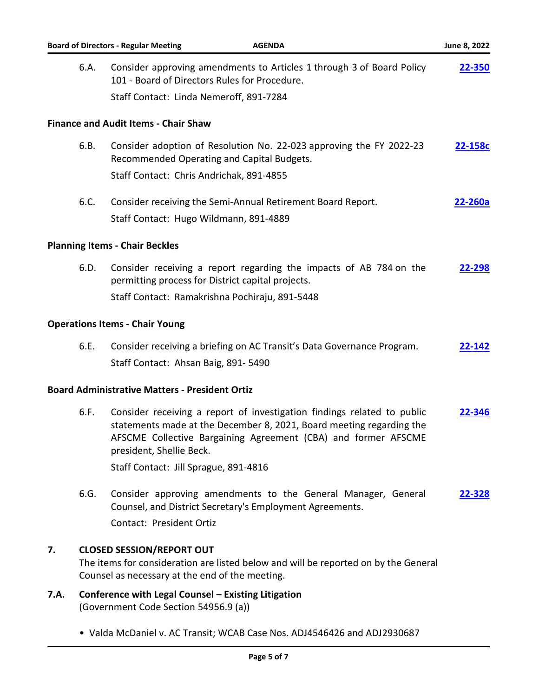|      |                                                                                                                                                                            | <b>Board of Directors - Regular Meeting</b><br><b>AGENDA</b>                                                                                                                                                                                  | June 8, 2022 |  |
|------|----------------------------------------------------------------------------------------------------------------------------------------------------------------------------|-----------------------------------------------------------------------------------------------------------------------------------------------------------------------------------------------------------------------------------------------|--------------|--|
|      | 6.A.                                                                                                                                                                       | Consider approving amendments to Articles 1 through 3 of Board Policy<br>101 - Board of Directors Rules for Procedure.<br>Staff Contact: Linda Nemeroff, 891-7284                                                                             | 22-350       |  |
|      |                                                                                                                                                                            |                                                                                                                                                                                                                                               |              |  |
|      |                                                                                                                                                                            | <b>Finance and Audit Items - Chair Shaw</b>                                                                                                                                                                                                   |              |  |
|      | 6.B.                                                                                                                                                                       | Consider adoption of Resolution No. 22-023 approving the FY 2022-23<br>Recommended Operating and Capital Budgets.                                                                                                                             | 22-158c      |  |
|      |                                                                                                                                                                            | Staff Contact: Chris Andrichak, 891-4855                                                                                                                                                                                                      |              |  |
|      | 6.C.                                                                                                                                                                       | Consider receiving the Semi-Annual Retirement Board Report.<br>Staff Contact: Hugo Wildmann, 891-4889                                                                                                                                         | 22-260a      |  |
|      |                                                                                                                                                                            | <b>Planning Items - Chair Beckles</b>                                                                                                                                                                                                         |              |  |
|      | 6.D.                                                                                                                                                                       | Consider receiving a report regarding the impacts of AB 784 on the<br>permitting process for District capital projects.                                                                                                                       | 22-298       |  |
|      |                                                                                                                                                                            | Staff Contact: Ramakrishna Pochiraju, 891-5448                                                                                                                                                                                                |              |  |
|      |                                                                                                                                                                            | <b>Operations Items - Chair Young</b>                                                                                                                                                                                                         |              |  |
|      | 6.E.                                                                                                                                                                       | Consider receiving a briefing on AC Transit's Data Governance Program.                                                                                                                                                                        | 22-142       |  |
|      |                                                                                                                                                                            | Staff Contact: Ahsan Baig, 891-5490                                                                                                                                                                                                           |              |  |
|      |                                                                                                                                                                            | <b>Board Administrative Matters - President Ortiz</b>                                                                                                                                                                                         |              |  |
|      | 6.F.                                                                                                                                                                       | Consider receiving a report of investigation findings related to public<br>statements made at the December 8, 2021, Board meeting regarding the<br>AFSCME Collective Bargaining Agreement (CBA) and former AFSCME<br>president, Shellie Beck. | 22-346       |  |
|      |                                                                                                                                                                            | Staff Contact: Jill Sprague, 891-4816                                                                                                                                                                                                         |              |  |
|      | 6.G.                                                                                                                                                                       | Consider approving amendments to the General Manager, General<br>Counsel, and District Secretary's Employment Agreements.                                                                                                                     | 22-328       |  |
|      |                                                                                                                                                                            | Contact: President Ortiz                                                                                                                                                                                                                      |              |  |
| 7.   | <b>CLOSED SESSION/REPORT OUT</b><br>The items for consideration are listed below and will be reported on by the General<br>Counsel as necessary at the end of the meeting. |                                                                                                                                                                                                                                               |              |  |
| 7.A. |                                                                                                                                                                            | Conference with Legal Counsel - Existing Litigation<br>(Government Code Section 54956.9 (a))                                                                                                                                                  |              |  |
|      |                                                                                                                                                                            | • Valda McDaniel v. AC Transit; WCAB Case Nos. ADJ4546426 and ADJ2930687                                                                                                                                                                      |              |  |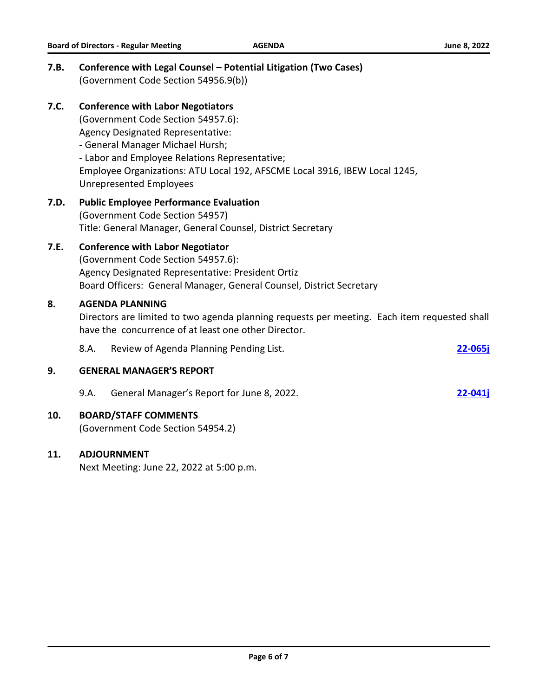| 7.B. |                                                                                                                                                                                                                                                                                                                    | Conference with Legal Counsel - Potential Litigation (Two Cases)<br>(Government Code Section 54956.9(b)) |             |
|------|--------------------------------------------------------------------------------------------------------------------------------------------------------------------------------------------------------------------------------------------------------------------------------------------------------------------|----------------------------------------------------------------------------------------------------------|-------------|
| 7.C. | <b>Conference with Labor Negotiators</b><br>(Government Code Section 54957.6):<br>Agency Designated Representative:<br>- General Manager Michael Hursh;<br>- Labor and Employee Relations Representative;<br>Employee Organizations: ATU Local 192, AFSCME Local 3916, IBEW Local 1245,<br>Unrepresented Employees |                                                                                                          |             |
| 7.D. | <b>Public Employee Performance Evaluation</b><br>(Government Code Section 54957)<br>Title: General Manager, General Counsel, District Secretary                                                                                                                                                                    |                                                                                                          |             |
| 7.E. | <b>Conference with Labor Negotiator</b><br>(Government Code Section 54957.6):<br>Agency Designated Representative: President Ortiz<br>Board Officers: General Manager, General Counsel, District Secretary                                                                                                         |                                                                                                          |             |
| 8.   | <b>AGENDA PLANNING</b><br>Directors are limited to two agenda planning requests per meeting. Each item requested shall<br>have the concurrence of at least one other Director.                                                                                                                                     |                                                                                                          |             |
|      | 8.A.                                                                                                                                                                                                                                                                                                               | Review of Agenda Planning Pending List.                                                                  | $22 - 065j$ |
| 9.   |                                                                                                                                                                                                                                                                                                                    | <b>GENERAL MANAGER'S REPORT</b>                                                                          |             |
|      | 9.A.                                                                                                                                                                                                                                                                                                               | General Manager's Report for June 8, 2022.                                                               | $22 - 041j$ |
| 10.  |                                                                                                                                                                                                                                                                                                                    | <b>BOARD/STAFF COMMENTS</b><br>(Government Code Section 54954.2)                                         |             |
| 11.  |                                                                                                                                                                                                                                                                                                                    | <b>ADJOURNMENT</b>                                                                                       |             |

**Board of Directors - Regular Meeting <b>AGENDA AGENDA AGENDA 1 June 8, 2022** 

Next Meeting: June 22, 2022 at 5:00 p.m.